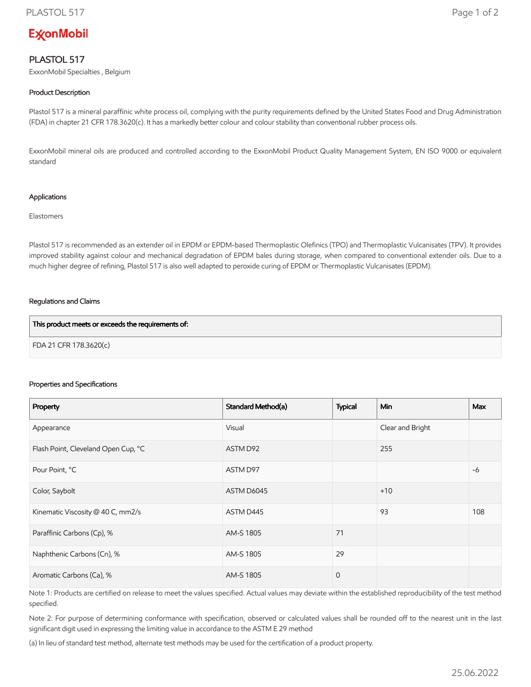# **ExconMobil**

## PLASTOL 517

ExxonMobil Specialties , Belgium

### Product Description

Plastol 517 is a mineral paraffinic white process oil, complying with the purity requirements defined by the United States Food and Drug Administration (FDA) in chapter 21 CFR 178.3620(c). It has a markedly better colour and colour stability than conventional rubber process oils.

ExxonMobil mineral oils are produced and controlled according to the ExxonMobil Product Quality Management System, EN ISO 9000 or equivalent standard

#### Applications

Elastomers

Plastol 517 is recommended as an extender oil in EPDM or EPDM-based Thermoplastic Olefinics (TPO) and Thermoplastic Vulcanisates (TPV). It provides improved stability against colour and mechanical degradation of EPDM bales during storage, when compared to conventional extender oils. Due to a much higher degree of refining, Plastol 517 is also well adapted to peroxide curing of EPDM or Thermoplastic Vulcanisates (EPDM).

#### Regulations and Claims

| This product meets or exceeds the requirements of: |  |
|----------------------------------------------------|--|
| FDA 21 CFR 178.3620(c)                             |  |

#### Properties and Specifications

| Property                            | Standard Method(a) | <b>Typical</b> | <b>Min</b>       | <b>Max</b> |
|-------------------------------------|--------------------|----------------|------------------|------------|
| Appearance                          | Visual             |                | Clear and Bright |            |
| Flash Point, Cleveland Open Cup, °C | ASTM D92           |                | 255              |            |
| Pour Point, °C                      | ASTM D97           |                |                  | $-6$       |
| Color, Saybolt                      | ASTM D6045         |                | $+10$            |            |
| Kinematic Viscosity @ 40 C, mm2/s   | ASTM D445          |                | 93               | 108        |
| Paraffinic Carbons (Cp), %          | AM-S 1805          | 71             |                  |            |
| Naphthenic Carbons (Cn), %          | AM-S 1805          | 29             |                  |            |
| Aromatic Carbons (Ca), %            | AM-S 1805          | $\overline{0}$ |                  |            |

Note 1: Products are certified on release to meet the values specified. Actual values may deviate within the established reproducibility of the test method specified.

Note 2: For purpose of determining conformance with specification, observed or calculated values shall be rounded off to the nearest unit in the last significant digit used in expressing the limiting value in accordance to the ASTM E 29 method

(a) In lieu of standard test method, alternate test methods may be used for the certification of a product property.